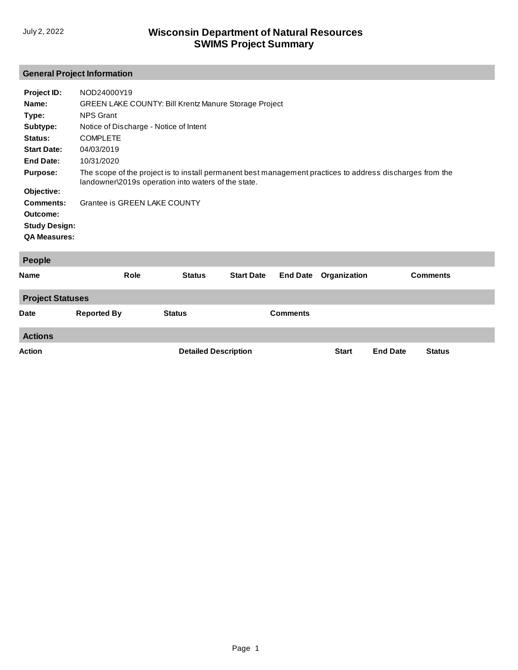# **General Project Information**

| Project ID:<br>Name:<br>Type:<br>Subtype:<br>Status:<br><b>Start Date:</b> | NOD24000Y19<br><b>GREEN LAKE COUNTY: Bill Krentz Manure Storage Project</b><br><b>NPS Grant</b><br>Notice of Discharge - Notice of Intent<br><b>COMPLETE</b><br>04/03/2019 |
|----------------------------------------------------------------------------|----------------------------------------------------------------------------------------------------------------------------------------------------------------------------|
| End Date:                                                                  | 10/31/2020                                                                                                                                                                 |
| <b>Purpose:</b><br>Objective:                                              | The scope of the project is to install permanent best management practices to address discharges from the<br>landowner\2019s operation into waters of the state.           |
| Comments:                                                                  | Grantee is GREEN LAKE COUNTY                                                                                                                                               |
| Outcome:                                                                   |                                                                                                                                                                            |
| <b>Study Design:</b>                                                       |                                                                                                                                                                            |
| <b>QA Measures:</b>                                                        |                                                                                                                                                                            |
|                                                                            |                                                                                                                                                                            |

| People                  |                    |               |                             |                 |              |                 |                 |  |
|-------------------------|--------------------|---------------|-----------------------------|-----------------|--------------|-----------------|-----------------|--|
| <b>Name</b>             | <b>Role</b>        | <b>Status</b> | <b>Start Date</b>           | <b>End Date</b> | Organization |                 | <b>Comments</b> |  |
| <b>Project Statuses</b> |                    |               |                             |                 |              |                 |                 |  |
| <b>Date</b>             | <b>Reported By</b> | <b>Status</b> |                             | <b>Comments</b> |              |                 |                 |  |
| <b>Actions</b>          |                    |               |                             |                 |              |                 |                 |  |
| <b>Action</b>           |                    |               | <b>Detailed Description</b> |                 | <b>Start</b> | <b>End Date</b> | <b>Status</b>   |  |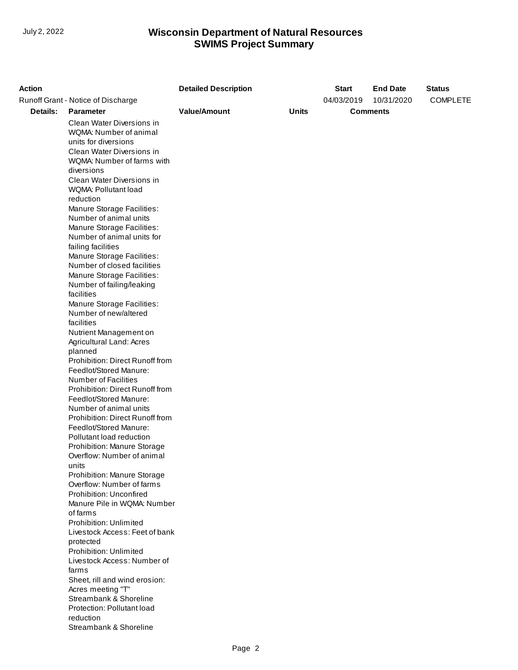| <b>Action</b> |                                                                             | <b>Detailed Description</b> |              | <b>Start</b> | <b>End Date</b> | <b>Status</b>   |
|---------------|-----------------------------------------------------------------------------|-----------------------------|--------------|--------------|-----------------|-----------------|
|               | Runoff Grant - Notice of Discharge                                          |                             |              | 04/03/2019   | 10/31/2020      | <b>COMPLETE</b> |
| Details:      | <b>Parameter</b>                                                            | <b>Value/Amount</b>         | <b>Units</b> |              | <b>Comments</b> |                 |
|               | Clean Water Diversions in<br>WQMA: Number of animal<br>units for diversions |                             |              |              |                 |                 |
|               | Clean Water Diversions in<br>WQMA: Number of farms with                     |                             |              |              |                 |                 |
|               | diversions                                                                  |                             |              |              |                 |                 |
|               | Clean Water Diversions in<br>WQMA: Pollutant load                           |                             |              |              |                 |                 |
|               | reduction<br>Manure Storage Facilities:                                     |                             |              |              |                 |                 |
|               | Number of animal units                                                      |                             |              |              |                 |                 |
|               | Manure Storage Facilities:                                                  |                             |              |              |                 |                 |
|               | Number of animal units for                                                  |                             |              |              |                 |                 |
|               | failing facilities<br>Manure Storage Facilities:                            |                             |              |              |                 |                 |
|               | Number of closed facilities                                                 |                             |              |              |                 |                 |
|               | Manure Storage Facilities:                                                  |                             |              |              |                 |                 |
|               | Number of failing/leaking                                                   |                             |              |              |                 |                 |
|               | facilities                                                                  |                             |              |              |                 |                 |
|               | Manure Storage Facilities:                                                  |                             |              |              |                 |                 |
|               | Number of new/altered                                                       |                             |              |              |                 |                 |
|               | facilities                                                                  |                             |              |              |                 |                 |
|               | Nutrient Management on<br>Agricultural Land: Acres                          |                             |              |              |                 |                 |
|               | planned                                                                     |                             |              |              |                 |                 |
|               | Prohibition: Direct Runoff from                                             |                             |              |              |                 |                 |
|               | Feedlot/Stored Manure:                                                      |                             |              |              |                 |                 |
|               | Number of Facilities                                                        |                             |              |              |                 |                 |
|               | Prohibition: Direct Runoff from                                             |                             |              |              |                 |                 |
|               | Feedlot/Stored Manure:                                                      |                             |              |              |                 |                 |
|               | Number of animal units<br>Prohibition: Direct Runoff from                   |                             |              |              |                 |                 |
|               | Feedlot/Stored Manure:                                                      |                             |              |              |                 |                 |
|               | Pollutant load reduction                                                    |                             |              |              |                 |                 |
|               | Prohibition: Manure Storage                                                 |                             |              |              |                 |                 |
|               | Overflow: Number of animal                                                  |                             |              |              |                 |                 |
|               | units                                                                       |                             |              |              |                 |                 |
|               | Prohibition: Manure Storage                                                 |                             |              |              |                 |                 |
|               | Overflow: Number of farms<br>Prohibition: Unconfired                        |                             |              |              |                 |                 |
|               | Manure Pile in WQMA: Number                                                 |                             |              |              |                 |                 |
|               | of farms                                                                    |                             |              |              |                 |                 |
|               | Prohibition: Unlimited                                                      |                             |              |              |                 |                 |
|               | Livestock Access: Feet of bank                                              |                             |              |              |                 |                 |
|               | protected                                                                   |                             |              |              |                 |                 |
|               | Prohibition: Unlimited                                                      |                             |              |              |                 |                 |
|               | Livestock Access: Number of                                                 |                             |              |              |                 |                 |
|               | farms<br>Sheet, rill and wind erosion:                                      |                             |              |              |                 |                 |
|               | Acres meeting "T"                                                           |                             |              |              |                 |                 |
|               | Streambank & Shoreline                                                      |                             |              |              |                 |                 |
|               | Protection: Pollutant load                                                  |                             |              |              |                 |                 |
|               | reduction                                                                   |                             |              |              |                 |                 |
|               | Streambank & Shoreline                                                      |                             |              |              |                 |                 |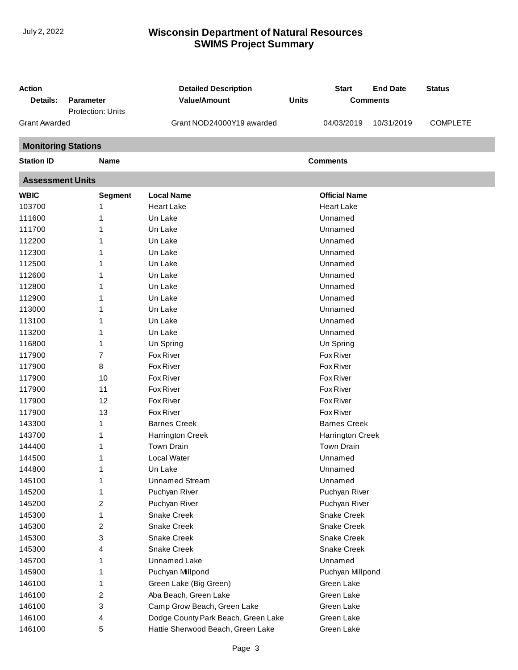| <b>Action</b>              |                   | <b>Detailed Description</b>         |              | <b>Start</b>         | <b>End Date</b> | <b>Status</b>   |
|----------------------------|-------------------|-------------------------------------|--------------|----------------------|-----------------|-----------------|
| Details:                   | <b>Parameter</b>  | <b>Value/Amount</b>                 | <b>Units</b> |                      | <b>Comments</b> |                 |
|                            | Protection: Units |                                     |              |                      |                 |                 |
| <b>Grant Awarded</b>       |                   | Grant NOD24000Y19 awarded           |              | 04/03/2019           | 10/31/2019      | <b>COMPLETE</b> |
| <b>Monitoring Stations</b> |                   |                                     |              |                      |                 |                 |
| <b>Station ID</b>          | <b>Name</b>       |                                     |              | <b>Comments</b>      |                 |                 |
| <b>Assessment Units</b>    |                   |                                     |              |                      |                 |                 |
| <b>WBIC</b>                | <b>Segment</b>    | <b>Local Name</b>                   |              | <b>Official Name</b> |                 |                 |
| 103700                     | 1                 | <b>Heart Lake</b>                   |              | <b>Heart Lake</b>    |                 |                 |
| 111600                     |                   | Un Lake                             |              | Unnamed              |                 |                 |
| 111700                     | 1                 | Un Lake                             |              | Unnamed              |                 |                 |
| 112200                     | 1                 | Un Lake                             |              | Unnamed              |                 |                 |
| 112300                     |                   | Un Lake                             |              | Unnamed              |                 |                 |
| 112500                     | 1                 | Un Lake                             |              | Unnamed              |                 |                 |
| 112600                     | 1                 | Un Lake                             |              | Unnamed              |                 |                 |
| 112800                     | 1                 | Un Lake                             |              | Unnamed              |                 |                 |
| 112900                     |                   | Un Lake                             |              | Unnamed              |                 |                 |
| 113000                     |                   | Un Lake                             |              | Unnamed              |                 |                 |
| 113100                     | 1                 | Un Lake                             |              | Unnamed              |                 |                 |
| 113200                     | 1                 | Un Lake                             |              | Unnamed              |                 |                 |
| 116800                     | 1                 | Un Spring                           |              | Un Spring            |                 |                 |
| 117900                     | 7                 | Fox River                           |              | <b>Fox River</b>     |                 |                 |
| 117900                     | 8                 | Fox River                           |              | <b>Fox River</b>     |                 |                 |
| 117900                     | 10                | Fox River                           |              | Fox River            |                 |                 |
| 117900                     | 11                | Fox River                           |              | Fox River            |                 |                 |
| 117900                     | 12                | Fox River                           |              | <b>Fox River</b>     |                 |                 |
| 117900                     | 13                | Fox River                           |              | Fox River            |                 |                 |
| 143300                     | 1                 | <b>Barnes Creek</b>                 |              | <b>Barnes Creek</b>  |                 |                 |
| 143700                     | 1                 | <b>Harrington Creek</b>             |              | Harrington Creek     |                 |                 |
| 144400                     | 1                 | <b>Town Drain</b>                   |              | <b>Town Drain</b>    |                 |                 |
| 144500                     | 1                 | Local Water                         |              | Unnamed              |                 |                 |
| 144800                     | 1                 | Un Lake                             |              | Unnamed              |                 |                 |
| 145100                     | 1                 | <b>Unnamed Stream</b>               |              | Unnamed              |                 |                 |
| 145200                     | 1                 | Puchyan River                       |              | Puchyan River        |                 |                 |
| 145200                     | 2                 | Puchyan River                       |              | Puchyan River        |                 |                 |
| 145300                     | 1                 | <b>Snake Creek</b>                  |              | Snake Creek          |                 |                 |
| 145300                     | 2                 | Snake Creek                         |              | Snake Creek          |                 |                 |
| 145300                     | 3                 | Snake Creek                         |              | Snake Creek          |                 |                 |
| 145300                     | 4                 | <b>Snake Creek</b>                  |              | Snake Creek          |                 |                 |
| 145700                     | 1                 | Unnamed Lake                        |              | Unnamed              |                 |                 |
| 145900                     | 1                 | Puchyan Millpond                    |              | Puchyan Millpond     |                 |                 |
| 146100                     | 1                 | Green Lake (Big Green)              |              | Green Lake           |                 |                 |
| 146100                     | 2                 | Aba Beach, Green Lake               |              | Green Lake           |                 |                 |
| 146100                     | 3                 | Camp Grow Beach, Green Lake         |              | Green Lake           |                 |                 |
| 146100                     | 4                 | Dodge County Park Beach, Green Lake |              | Green Lake           |                 |                 |
| 146100                     | 5                 | Hattie Sherwood Beach, Green Lake   |              | Green Lake           |                 |                 |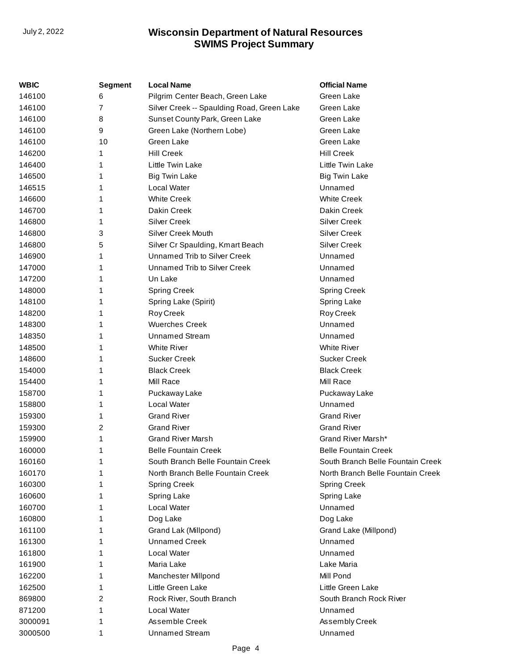| <b>WBIC</b> | Segment | <b>Local Name</b>                          | <b>Official Name</b>              |
|-------------|---------|--------------------------------------------|-----------------------------------|
| 146100      | 6       | Pilgrim Center Beach, Green Lake           | Green Lake                        |
| 146100      | 7       | Silver Creek -- Spaulding Road, Green Lake | Green Lake                        |
| 146100      | 8       | Sunset County Park, Green Lake             | Green Lake                        |
| 146100      | 9       | Green Lake (Northern Lobe)                 | Green Lake                        |
| 146100      | 10      | Green Lake                                 | Green Lake                        |
| 146200      | 1       | <b>Hill Creek</b>                          | <b>Hill Creek</b>                 |
| 146400      | 1       | Little Twin Lake                           | Little Twin Lake                  |
| 146500      | 1       | <b>Big Twin Lake</b>                       | <b>Big Twin Lake</b>              |
| 146515      | 1       | <b>Local Water</b>                         | Unnamed                           |
| 146600      | 1       | <b>White Creek</b>                         | <b>White Creek</b>                |
| 146700      | 1       | Dakin Creek                                | Dakin Creek                       |
| 146800      | 1       | <b>Silver Creek</b>                        | <b>Silver Creek</b>               |
| 146800      | 3       | Silver Creek Mouth                         | <b>Silver Creek</b>               |
| 146800      | 5       | Silver Cr Spaulding, Kmart Beach           | <b>Silver Creek</b>               |
| 146900      | 1       | Unnamed Trib to Silver Creek               | Unnamed                           |
| 147000      | 1       | Unnamed Trib to Silver Creek               | Unnamed                           |
| 147200      | 1       | Un Lake                                    | Unnamed                           |
| 148000      | 1       | <b>Spring Creek</b>                        | <b>Spring Creek</b>               |
| 148100      | 1       | Spring Lake (Spirit)                       | Spring Lake                       |
| 148200      | 1       | Roy Creek                                  | Roy Creek                         |
| 148300      | 1       | <b>Wuerches Creek</b>                      | Unnamed                           |
| 148350      | 1       | <b>Unnamed Stream</b>                      | Unnamed                           |
| 148500      | 1       | <b>White River</b>                         | <b>White River</b>                |
| 148600      | 1       | <b>Sucker Creek</b>                        | <b>Sucker Creek</b>               |
| 154000      | 1       | <b>Black Creek</b>                         | <b>Black Creek</b>                |
| 154400      | 1       | Mill Race                                  | Mill Race                         |
| 158700      | 1       | Puckaway Lake                              | Puckaway Lake                     |
| 158800      | 1       | Local Water                                | Unnamed                           |
| 159300      | 1       | <b>Grand River</b>                         | <b>Grand River</b>                |
| 159300      | 2       | <b>Grand River</b>                         | <b>Grand River</b>                |
| 159900      | 1       | <b>Grand River Marsh</b>                   | Grand River Marsh*                |
| 160000      | 1       | <b>Belle Fountain Creek</b>                | <b>Belle Fountain Creek</b>       |
| 160160      | 1       | South Branch Belle Fountain Creek          | South Branch Belle Fountain Creek |
| 160170      |         | North Branch Belle Fountain Creek          | North Branch Belle Fountain Creek |
| 160300      | 1       | <b>Spring Creek</b>                        | <b>Spring Creek</b>               |
| 160600      | 1       | Spring Lake                                | Spring Lake                       |
| 160700      | 1       | <b>Local Water</b>                         | Unnamed                           |
| 160800      | 1       | Dog Lake                                   | Dog Lake                          |
| 161100      | 1       | Grand Lak (Millpond)                       | Grand Lake (Millpond)             |
| 161300      | 1       | <b>Unnamed Creek</b>                       | Unnamed                           |
| 161800      | 1       | Local Water                                | Unnamed                           |
| 161900      | 1       | Maria Lake                                 | Lake Maria                        |
| 162200      | 1       | Manchester Millpond                        | Mill Pond                         |
| 162500      | 1       | Little Green Lake                          | Little Green Lake                 |
| 869800      | 2       | Rock River, South Branch                   | South Branch Rock River           |
| 871200      | 1       | Local Water                                | Unnamed                           |
| 3000091     | 1       | Assemble Creek                             | Assembly Creek                    |
| 3000500     | 1       | <b>Unnamed Stream</b>                      | Unnamed                           |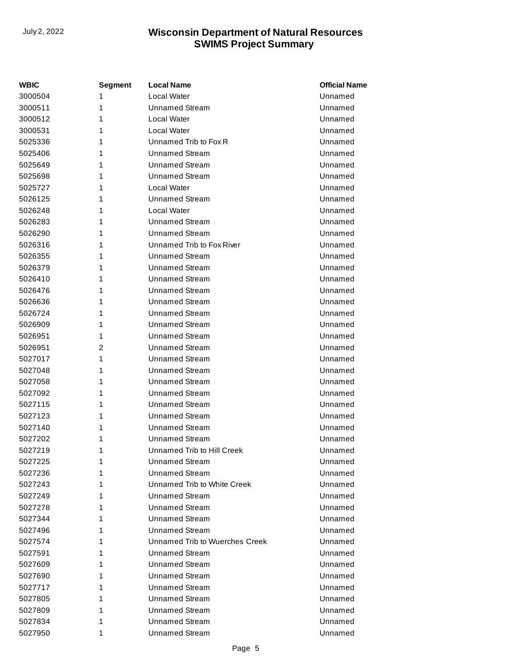| <b>WBIC</b> | Segment | <b>Local Name</b>              | <b>Official Name</b> |
|-------------|---------|--------------------------------|----------------------|
| 3000504     | 1       | Local Water                    | Unnamed              |
| 3000511     | 1       | Unnamed Stream                 | Unnamed              |
| 3000512     | 1       | Local Water                    | Unnamed              |
| 3000531     | 1       | <b>Local Water</b>             | Unnamed              |
| 5025336     | 1       | Unnamed Trib to Fox R          | Unnamed              |
| 5025406     | 1       | Unnamed Stream                 | Unnamed              |
| 5025649     | 1       | Unnamed Stream                 | Unnamed              |
| 5025698     | 1       | Unnamed Stream                 | Unnamed              |
| 5025727     | 1       | Local Water                    | Unnamed              |
| 5026125     | 1       | Unnamed Stream                 | Unnamed              |
| 5026248     | 1       | Local Water                    | Unnamed              |
| 5026283     | 1       | Unnamed Stream                 | Unnamed              |
| 5026290     | 1       | Unnamed Stream                 | Unnamed              |
| 5026316     | 1       | Unnamed Trib to Fox River      | Unnamed              |
| 5026355     | 1       | Unnamed Stream                 | Unnamed              |
| 5026379     | 1       | Unnamed Stream                 | Unnamed              |
| 5026410     | 1       | <b>Unnamed Stream</b>          | Unnamed              |
| 5026476     | 1       | Unnamed Stream                 | Unnamed              |
| 5026636     | 1       | <b>Unnamed Stream</b>          | Unnamed              |
| 5026724     | 1       | Unnamed Stream                 | Unnamed              |
| 5026909     | 1       | Unnamed Stream                 | Unnamed              |
| 5026951     | 1       | Unnamed Stream                 | Unnamed              |
| 5026951     | 2       | Unnamed Stream                 | Unnamed              |
| 5027017     | 1       | Unnamed Stream                 | Unnamed              |
| 5027048     | 1       | <b>Unnamed Stream</b>          | Unnamed              |
| 5027058     | 1       | Unnamed Stream                 | Unnamed              |
| 5027092     | 1       | <b>Unnamed Stream</b>          | Unnamed              |
| 5027115     | 1       | Unnamed Stream                 | Unnamed              |
| 5027123     | 1       | <b>Unnamed Stream</b>          | Unnamed              |
| 5027140     | 1       | Unnamed Stream                 | Unnamed              |
| 5027202     | 1       | <b>Unnamed Stream</b>          | Unnamed              |
| 5027219     | 1       | Unnamed Trib to Hill Creek     | Unnamed              |
| 5027225     | 1       | <b>Unnamed Stream</b>          | Unnamed              |
| 5027236     | 1       | <b>Unnamed Stream</b>          | Unnamed              |
| 5027243     | 1       | Unnamed Trib to White Creek    | Unnamed              |
| 5027249     | 1       | <b>Unnamed Stream</b>          | Unnamed              |
| 5027278     | 1       | <b>Unnamed Stream</b>          | Unnamed              |
| 5027344     | 1       | <b>Unnamed Stream</b>          | Unnamed              |
| 5027496     | 1       | <b>Unnamed Stream</b>          | Unnamed              |
| 5027574     | 1       | Unnamed Trib to Wuerches Creek | Unnamed              |
| 5027591     | 1       | <b>Unnamed Stream</b>          | Unnamed              |
| 5027609     | 1       | Unnamed Stream                 | Unnamed              |
| 5027690     | 1       | <b>Unnamed Stream</b>          | Unnamed              |
| 5027717     | 1       | <b>Unnamed Stream</b>          | Unnamed              |
| 5027805     | 1       | <b>Unnamed Stream</b>          | Unnamed              |
| 5027809     | 1       | <b>Unnamed Stream</b>          | Unnamed              |
| 5027834     | 1       | <b>Unnamed Stream</b>          | Unnamed              |
| 5027950     | 1       | <b>Unnamed Stream</b>          | Unnamed              |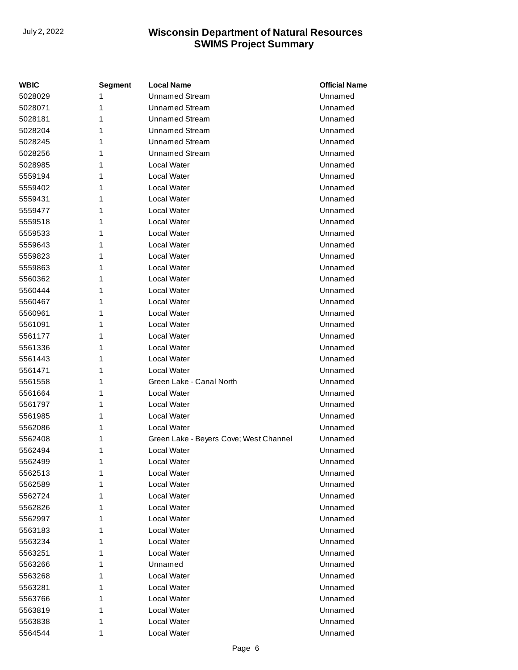| <b>WBIC</b> | <b>Segment</b> | <b>Local Name</b>                      | <b>Official Name</b> |
|-------------|----------------|----------------------------------------|----------------------|
| 5028029     | 1              | <b>Unnamed Stream</b>                  | Unnamed              |
| 5028071     | 1              | <b>Unnamed Stream</b>                  | Unnamed              |
| 5028181     | 1              | <b>Unnamed Stream</b>                  | Unnamed              |
| 5028204     | 1              | <b>Unnamed Stream</b>                  | Unnamed              |
| 5028245     | 1              | <b>Unnamed Stream</b>                  | Unnamed              |
| 5028256     | 1              | <b>Unnamed Stream</b>                  | Unnamed              |
| 5028985     | 1              | Local Water                            | Unnamed              |
| 5559194     | 1              | <b>Local Water</b>                     | Unnamed              |
| 5559402     | 1              | <b>Local Water</b>                     | Unnamed              |
| 5559431     | 1              | <b>Local Water</b>                     | Unnamed              |
| 5559477     | 1              | Local Water                            | Unnamed              |
| 5559518     | 1              | <b>Local Water</b>                     | Unnamed              |
| 5559533     | 1              | <b>Local Water</b>                     | Unnamed              |
| 5559643     | 1              | <b>Local Water</b>                     | Unnamed              |
| 5559823     | 1              | <b>Local Water</b>                     | Unnamed              |
| 5559863     | 1              | <b>Local Water</b>                     | Unnamed              |
| 5560362     | 1              | <b>Local Water</b>                     | Unnamed              |
| 5560444     | 1              | <b>Local Water</b>                     | Unnamed              |
| 5560467     | 1              | Local Water                            | Unnamed              |
| 5560961     | 1              | <b>Local Water</b>                     | Unnamed              |
| 5561091     | 1              | <b>Local Water</b>                     | Unnamed              |
| 5561177     | 1              | <b>Local Water</b>                     | Unnamed              |
| 5561336     | 1              | <b>Local Water</b>                     | Unnamed              |
| 5561443     | 1              | <b>Local Water</b>                     | Unnamed              |
| 5561471     | 1              | <b>Local Water</b>                     | Unnamed              |
| 5561558     | 1              | Green Lake - Canal North               | Unnamed              |
| 5561664     | 1              | <b>Local Water</b>                     | Unnamed              |
| 5561797     | 1              | <b>Local Water</b>                     | Unnamed              |
| 5561985     | 1              | <b>Local Water</b>                     | Unnamed              |
| 5562086     | 1              | <b>Local Water</b>                     | Unnamed              |
| 5562408     | 1              | Green Lake - Beyers Cove; West Channel | Unnamed              |
| 5562494     | 1              | Local Water                            | Unnamed              |
| 5562499     | 1              | Local Water                            | Unnamed              |
| 5562513     | 1              | Local Water                            | Unnamed              |
| 5562589     | 1              | Local Water                            | Unnamed              |
| 5562724     | 1              | Local Water                            | Unnamed              |
| 5562826     | 1              | Local Water                            | Unnamed              |
| 5562997     | 1              | Local Water                            | Unnamed              |
| 5563183     | 1              | <b>Local Water</b>                     | Unnamed              |
| 5563234     | 1              | Local Water                            | Unnamed              |
| 5563251     | 1              | Local Water                            | Unnamed              |
| 5563266     | 1              | Unnamed                                | Unnamed              |
| 5563268     | 1              | Local Water                            | Unnamed              |
| 5563281     | 1              | Local Water                            | Unnamed              |
| 5563766     | 1              | Local Water                            | Unnamed              |
| 5563819     | 1              | Local Water                            | Unnamed              |
| 5563838     | 1              | Local Water                            | Unnamed              |
| 5564544     | 1              | Local Water                            | Unnamed              |